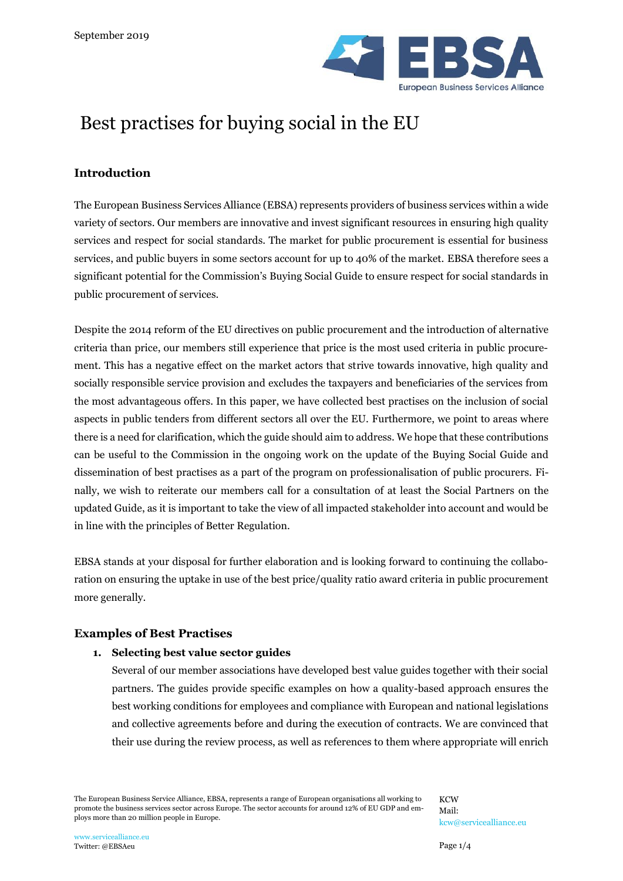

# Best practises for buying social in the EU

# **Introduction**

The European Business Services Alliance (EBSA) represents providers of business services within a wide variety of sectors. Our members are innovative and invest significant resources in ensuring high quality services and respect for social standards. The market for public procurement is essential for business services, and public buyers in some sectors account for up to 40% of the market. EBSA therefore sees a significant potential for the Commission's Buying Social Guide to ensure respect for social standards in public procurement of services.

Despite the 2014 reform of the EU directives on public procurement and the introduction of alternative criteria than price, our members still experience that price is the most used criteria in public procurement. This has a negative effect on the market actors that strive towards innovative, high quality and socially responsible service provision and excludes the taxpayers and beneficiaries of the services from the most advantageous offers. In this paper, we have collected best practises on the inclusion of social aspects in public tenders from different sectors all over the EU. Furthermore, we point to areas where there is a need for clarification, which the guide should aim to address. We hope that these contributions can be useful to the Commission in the ongoing work on the update of the Buying Social Guide and dissemination of best practises as a part of the program on professionalisation of public procurers. Finally, we wish to reiterate our members call for a consultation of at least the Social Partners on the updated Guide, as it is important to take the view of all impacted stakeholder into account and would be in line with the principles of Better Regulation.

EBSA stands at your disposal for further elaboration and is looking forward to continuing the collaboration on ensuring the uptake in use of the best price/quality ratio award criteria in public procurement more generally.

## **Examples of Best Practises**

#### **1. Selecting best value sector guides**

Several of our member associations have developed best value guides together with their social partners. The guides provide specific examples on how a quality-based approach ensures the best working conditions for employees and compliance with European and national legislations and collective agreements before and during the execution of contracts. We are convinced that their use during the review process, as well as references to them where appropriate will enrich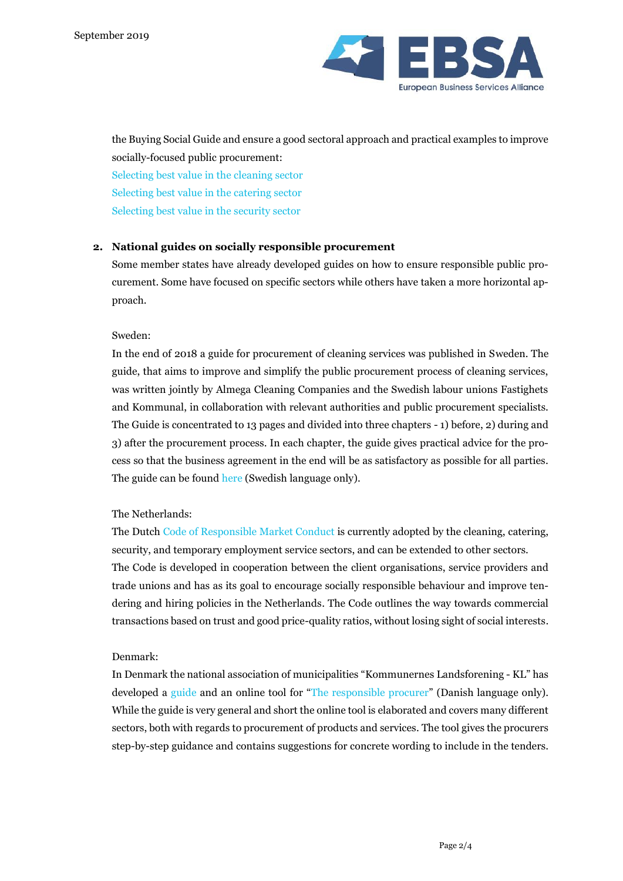

the Buying Social Guide and ensure a good sectoral approach and practical examples to improve socially-focused public procurement:

[Selecting best value in the cleaning sector](http://www.cleaningbestvalue.eu/uploads/1/6/7/9/16796136/en_cleaningbestvalueguide.pdf) [Selecting best value in the catering sector](http://www.contract-catering-guide.org/) [Selecting best value in the security sector](http://www.securebestvalue.org/)

#### **2. National guides on socially responsible procurement**

Some member states have already developed guides on how to ensure responsible public procurement. Some have focused on specific sectors while others have taken a more horizontal approach.

#### Sweden:

In the end of 2018 a guide for procurement of cleaning services was published in Sweden. The guide, that aims to improve and simplify the public procurement process of cleaning services, was written jointly by Almega Cleaning Companies and the Swedish labour unions Fastighets and Kommunal, in collaboration with relevant authorities and public procurement specialists. The Guide is concentrated to 13 pages and divided into three chapters - 1) before, 2) during and 3) after the procurement process. In each chapter, the guide gives practical advice for the process so that the business agreement in the end will be as satisfactory as possible for all parties. The guide can be found [here](https://stadbranschenisamverkan.se/wp-content/uploads/2018/06/Riskfaktorer-en-v%C3%A4gledning-f%C3%B6r-schysst-konkurrens.pdf.) (Swedish language only).

#### The Netherlands:

The Dutch [Code of Responsible Market Conduct](https://www.codeverantwoordelijkmarktgedrag.nl/media/244774/codeboekjeweb-2014.pdf) is currently adopted by the cleaning, catering, security, and temporary employment service sectors, and can be extended to other sectors. The Code is developed in cooperation between the client organisations, service providers and trade unions and has as its goal to encourage socially responsible behaviour and improve tendering and hiring policies in the Netherlands. The Code outlines the way towards commercial transactions based on trust and good price-quality ratios, without losing sight of social interests.

#### Denmark:

In Denmark the national association of municipalities "Kommunernes Landsforening - KL" has developed a [guide](https://udbudsportalen.dk/udbudsguiden/ret-regler/ansvarligt-indkoeb/) and an online tool for "[The responsible procurer](http://csr-indkob.dk/)" (Danish language only). While the guide is very general and short the online tool is elaborated and covers many different sectors, both with regards to procurement of products and services. The tool gives the procurers step-by-step guidance and contains suggestions for concrete wording to include in the tenders.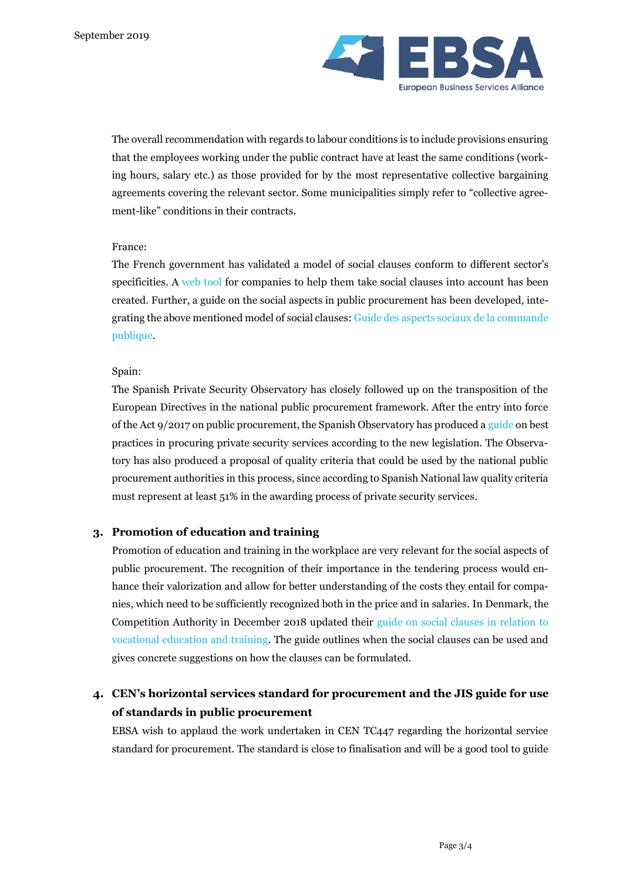

The overall recommendation with regards to labour conditions is to include provisions ensuring that the employees working under the public contract have at least the same conditions (working hours, salary etc.) as those provided for by the most representative collective bargaining agreements covering the relevant sector. Some municipalities simply refer to "collective agreement-like" conditions in their contracts.

#### France:

The French government has validated a model of social clauses conform to different sector's specificities. A [web tool](http://www.inserpropre.fr/) for companies to help them take social clauses into account has been created. Further, a guide on the social aspects in public procurement has been developed, integrating the above mentioned model of social clauses: [Guide des aspects sociaux de la commande](https://www.google.com/search?q=Guide+des+aspects+sociaux+de+la+commande+publique&oq=Guide+des+aspects+sociaux+de+la+commande+publique&aqs=chrome..69i57j0.399j0j7&sourceid=chrome&ie=UTF-8)  [publique.](https://www.google.com/search?q=Guide+des+aspects+sociaux+de+la+commande+publique&oq=Guide+des+aspects+sociaux+de+la+commande+publique&aqs=chrome..69i57j0.399j0j7&sourceid=chrome&ie=UTF-8)

#### Spain:

The Spanish Private Security Observatory has closely followed up on the transposition of the European Directives in the national public procurement framework. After the entry into force of the Act 9/2017 on public procurement, the Spanish Observatory has produced [a guide](https://www.observatorioseguridad.es/guia-de-buenas-practicas-en-la-contratacion-de-servicios-de-seguridad-privada/) on best practices in procuring private security services according to the new legislation. The Observatory has also produced a proposal of quality criteria that could be used by the national public procurement authorities in this process, since according to Spanish National law quality criteria must represent at least 51% in the awarding process of private security services.

#### **3. Promotion of education and training**

Promotion of education and training in the workplace are very relevant for the social aspects of public procurement. The recognition of their importance in the tendering process would enhance their valorization and allow for better understanding of the costs they entail for companies, which need to be sufficiently recognized both in the price and in salaries. In Denmark, the Competition Authority in December 2018 updated their [guide on social clauses in relation to](https://www.kfst.dk/media/53506/vejledning-om-sociale-klausuler-i-udbud.pdf)  [vocational education and training.](https://www.kfst.dk/media/53506/vejledning-om-sociale-klausuler-i-udbud.pdf) The guide outlines when the social clauses can be used and gives concrete suggestions on how the clauses can be formulated.

# **4. CEN's horizontal services standard for procurement and the JIS guide for use of standards in public procurement**

EBSA wish to applaud the work undertaken in CEN TC447 regarding the horizontal service standard for procurement. The standard is close to finalisation and will be a good tool to guide